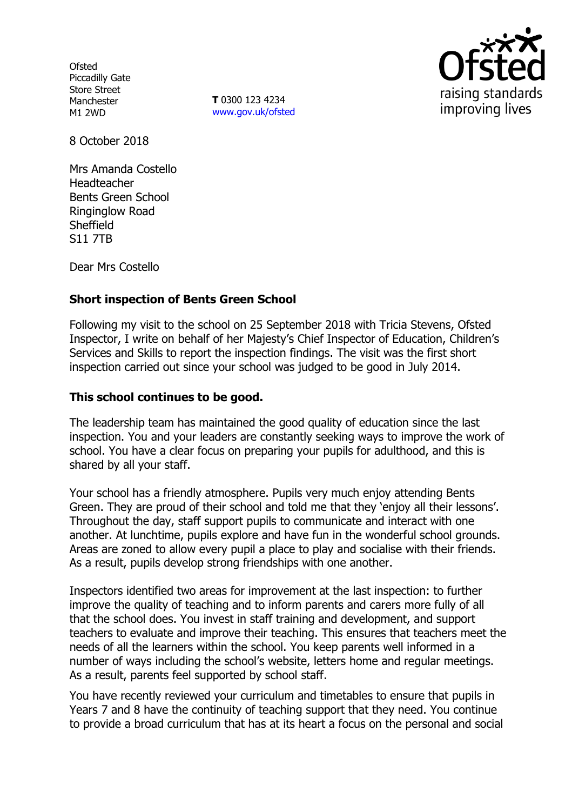**Ofsted** Piccadilly Gate Store Street Manchester M1 2WD

**T** 0300 123 4234 www.gov.uk/ofsted



8 October 2018

Mrs Amanda Costello Headteacher Bents Green School Ringinglow Road Sheffield S11 7TB

Dear Mrs Costello

## **Short inspection of Bents Green School**

Following my visit to the school on 25 September 2018 with Tricia Stevens, Ofsted Inspector, I write on behalf of her Majesty's Chief Inspector of Education, Children's Services and Skills to report the inspection findings. The visit was the first short inspection carried out since your school was judged to be good in July 2014.

## **This school continues to be good.**

The leadership team has maintained the good quality of education since the last inspection. You and your leaders are constantly seeking ways to improve the work of school. You have a clear focus on preparing your pupils for adulthood, and this is shared by all your staff.

Your school has a friendly atmosphere. Pupils very much enjoy attending Bents Green. They are proud of their school and told me that they 'enjoy all their lessons'. Throughout the day, staff support pupils to communicate and interact with one another. At lunchtime, pupils explore and have fun in the wonderful school grounds. Areas are zoned to allow every pupil a place to play and socialise with their friends. As a result, pupils develop strong friendships with one another.

Inspectors identified two areas for improvement at the last inspection: to further improve the quality of teaching and to inform parents and carers more fully of all that the school does. You invest in staff training and development, and support teachers to evaluate and improve their teaching. This ensures that teachers meet the needs of all the learners within the school. You keep parents well informed in a number of ways including the school's website, letters home and regular meetings. As a result, parents feel supported by school staff.

You have recently reviewed your curriculum and timetables to ensure that pupils in Years 7 and 8 have the continuity of teaching support that they need. You continue to provide a broad curriculum that has at its heart a focus on the personal and social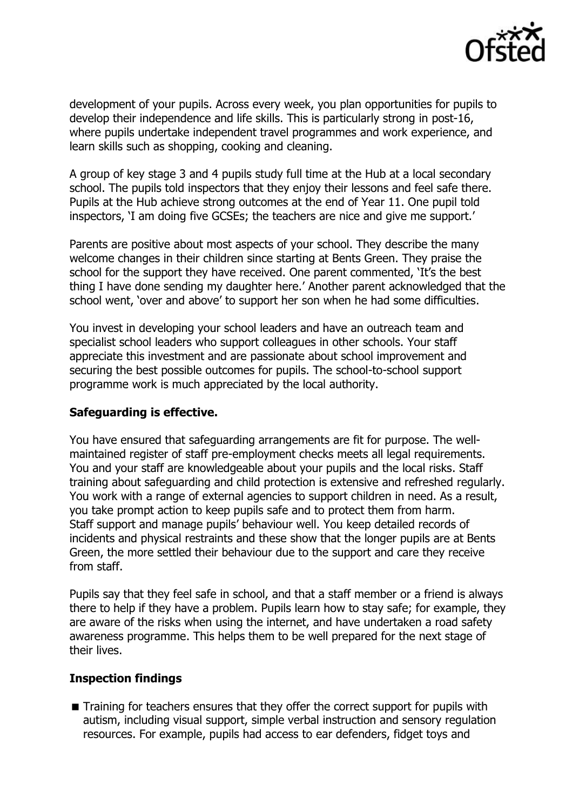

development of your pupils. Across every week, you plan opportunities for pupils to develop their independence and life skills. This is particularly strong in post-16, where pupils undertake independent travel programmes and work experience, and learn skills such as shopping, cooking and cleaning.

A group of key stage 3 and 4 pupils study full time at the Hub at a local secondary school. The pupils told inspectors that they enjoy their lessons and feel safe there. Pupils at the Hub achieve strong outcomes at the end of Year 11. One pupil told inspectors, 'I am doing five GCSEs; the teachers are nice and give me support.'

Parents are positive about most aspects of your school. They describe the many welcome changes in their children since starting at Bents Green. They praise the school for the support they have received. One parent commented, 'It's the best thing I have done sending my daughter here.' Another parent acknowledged that the school went, 'over and above' to support her son when he had some difficulties.

You invest in developing your school leaders and have an outreach team and specialist school leaders who support colleagues in other schools. Your staff appreciate this investment and are passionate about school improvement and securing the best possible outcomes for pupils. The school-to-school support programme work is much appreciated by the local authority.

## **Safeguarding is effective.**

You have ensured that safeguarding arrangements are fit for purpose. The wellmaintained register of staff pre-employment checks meets all legal requirements. You and your staff are knowledgeable about your pupils and the local risks. Staff training about safeguarding and child protection is extensive and refreshed regularly. You work with a range of external agencies to support children in need. As a result, you take prompt action to keep pupils safe and to protect them from harm. Staff support and manage pupils' behaviour well. You keep detailed records of incidents and physical restraints and these show that the longer pupils are at Bents Green, the more settled their behaviour due to the support and care they receive from staff.

Pupils say that they feel safe in school, and that a staff member or a friend is always there to help if they have a problem. Pupils learn how to stay safe; for example, they are aware of the risks when using the internet, and have undertaken a road safety awareness programme. This helps them to be well prepared for the next stage of their lives.

## **Inspection findings**

■ Training for teachers ensures that they offer the correct support for pupils with autism, including visual support, simple verbal instruction and sensory regulation resources. For example, pupils had access to ear defenders, fidget toys and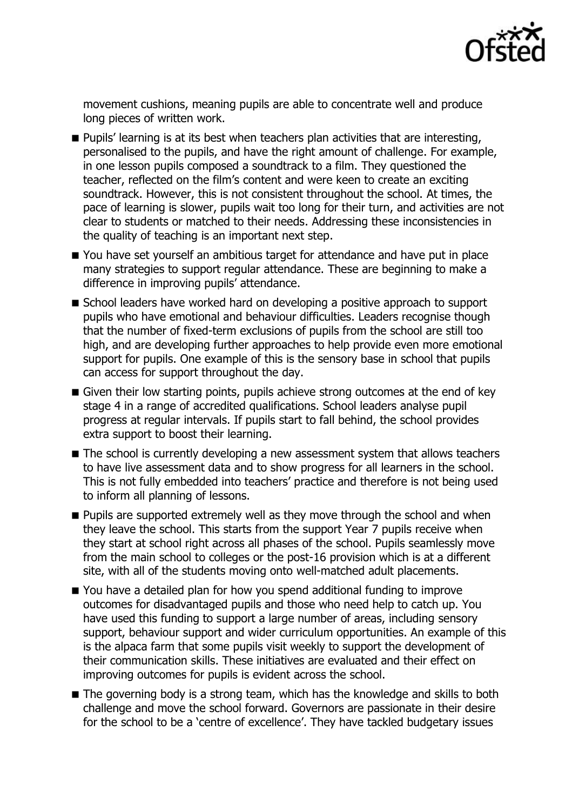

movement cushions, meaning pupils are able to concentrate well and produce long pieces of written work.

- **Pupils'** learning is at its best when teachers plan activities that are interesting, personalised to the pupils, and have the right amount of challenge. For example, in one lesson pupils composed a soundtrack to a film. They questioned the teacher, reflected on the film's content and were keen to create an exciting soundtrack. However, this is not consistent throughout the school. At times, the pace of learning is slower, pupils wait too long for their turn, and activities are not clear to students or matched to their needs. Addressing these inconsistencies in the quality of teaching is an important next step.
- You have set yourself an ambitious target for attendance and have put in place many strategies to support regular attendance. These are beginning to make a difference in improving pupils' attendance.
- School leaders have worked hard on developing a positive approach to support pupils who have emotional and behaviour difficulties. Leaders recognise though that the number of fixed-term exclusions of pupils from the school are still too high, and are developing further approaches to help provide even more emotional support for pupils. One example of this is the sensory base in school that pupils can access for support throughout the day.
- Given their low starting points, pupils achieve strong outcomes at the end of key stage 4 in a range of accredited qualifications. School leaders analyse pupil progress at regular intervals. If pupils start to fall behind, the school provides extra support to boost their learning.
- The school is currently developing a new assessment system that allows teachers to have live assessment data and to show progress for all learners in the school. This is not fully embedded into teachers' practice and therefore is not being used to inform all planning of lessons.
- **Pupils are supported extremely well as they move through the school and when** they leave the school. This starts from the support Year 7 pupils receive when they start at school right across all phases of the school. Pupils seamlessly move from the main school to colleges or the post-16 provision which is at a different site, with all of the students moving onto well-matched adult placements.
- You have a detailed plan for how you spend additional funding to improve outcomes for disadvantaged pupils and those who need help to catch up. You have used this funding to support a large number of areas, including sensory support, behaviour support and wider curriculum opportunities. An example of this is the alpaca farm that some pupils visit weekly to support the development of their communication skills. These initiatives are evaluated and their effect on improving outcomes for pupils is evident across the school.
- The governing body is a strong team, which has the knowledge and skills to both challenge and move the school forward. Governors are passionate in their desire for the school to be a 'centre of excellence'. They have tackled budgetary issues